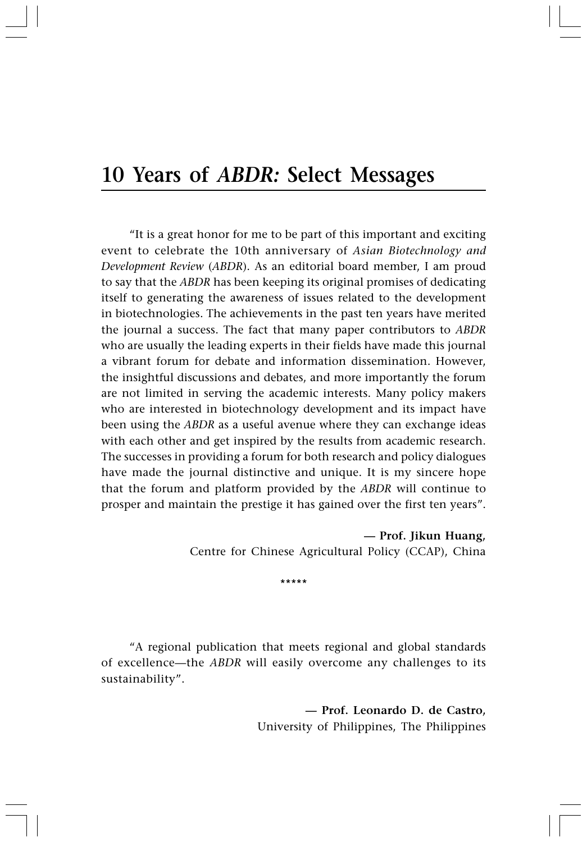## **10 Years of** *ABDR:* **Select Messages**

"It is a great honor for me to be part of this important and exciting event to celebrate the 10th anniversary of *Asian Biotechnology and Development Review* (*ABDR*). As an editorial board member, I am proud to say that the *ABDR* has been keeping its original promises of dedicating itself to generating the awareness of issues related to the development in biotechnologies. The achievements in the past ten years have merited the journal a success. The fact that many paper contributors to *ABDR* who are usually the leading experts in their fields have made this journal a vibrant forum for debate and information dissemination. However, the insightful discussions and debates, and more importantly the forum are not limited in serving the academic interests. Many policy makers who are interested in biotechnology development and its impact have been using the *ABDR* as a useful avenue where they can exchange ideas with each other and get inspired by the results from academic research. The successes in providing a forum for both research and policy dialogues have made the journal distinctive and unique. It is my sincere hope that the forum and platform provided by the *ABDR* will continue to prosper and maintain the prestige it has gained over the first ten years".

> **— Prof. Jikun Huang,** Centre for Chinese Agricultural Policy (CCAP), China

> > \*\*\*\*\*

"A regional publication that meets regional and global standards of excellence—the *ABDR* will easily overcome any challenges to its sustainability".

> **— Prof. Leonardo D. de Castro,** University of Philippines, The Philippines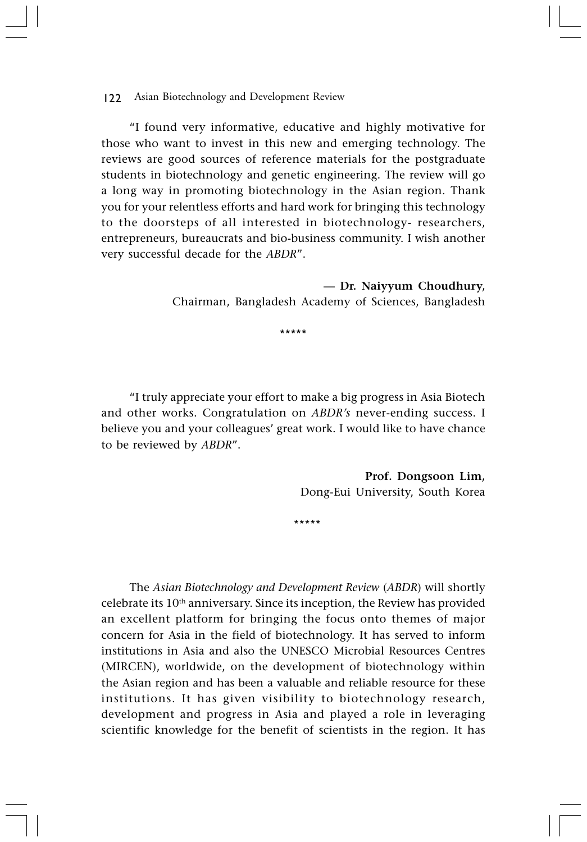122 Asian Biotechnology and Development Review

"I found very informative, educative and highly motivative for those who want to invest in this new and emerging technology. The reviews are good sources of reference materials for the postgraduate students in biotechnology and genetic engineering. The review will go a long way in promoting biotechnology in the Asian region. Thank you for your relentless efforts and hard work for bringing this technology to the doorsteps of all interested in biotechnology- researchers, entrepreneurs, bureaucrats and bio-business community. I wish another very successful decade for the *ABDR*".

> **— Dr. Naiyyum Choudhury,** Chairman, Bangladesh Academy of Sciences, Bangladesh

> > \*\*\*\*\*

"I truly appreciate your effort to make a big progress in Asia Biotech and other works. Congratulation on *ABDR's* never-ending success. I believe you and your colleagues' great work. I would like to have chance to be reviewed by *ABDR*".

> **Prof. Dongsoon Lim,** Dong-Eui University, South Korea

\*\*\*\*\*

The *Asian Biotechnology and Development Review* (*ABDR*) will shortly celebrate its 10<sup>th</sup> anniversary. Since its inception, the Review has provided an excellent platform for bringing the focus onto themes of major concern for Asia in the field of biotechnology. It has served to inform institutions in Asia and also the UNESCO Microbial Resources Centres (MIRCEN), worldwide, on the development of biotechnology within the Asian region and has been a valuable and reliable resource for these institutions. It has given visibility to biotechnology research, development and progress in Asia and played a role in leveraging scientific knowledge for the benefit of scientists in the region. It has